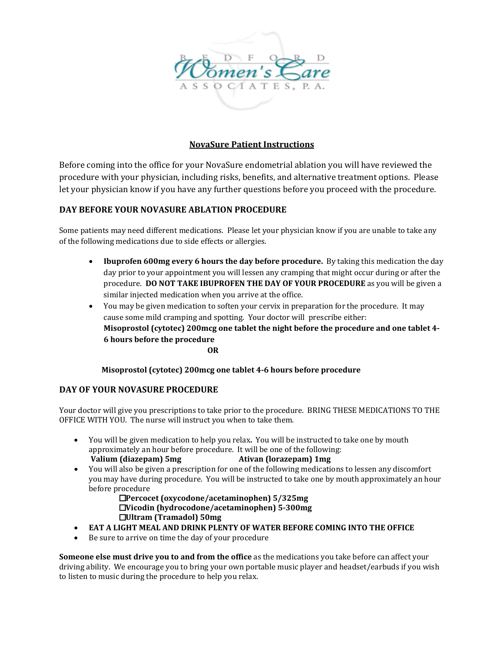

### **NovaSure Patient Instructions**

Before coming into the office for your NovaSure endometrial ablation you will have reviewed the procedure with your physician, including risks, benefits, and alternative treatment options. Please let your physician know if you have any further questions before you proceed with the procedure.

#### **DAY BEFORE YOUR NOVASURE ABLATION PROCEDURE**

Some patients may need different medications. Please let your physician know if you are unable to take any of the following medications due to side effects or allergies.

- **Ibuprofen 600mg every 6 hours the day before procedure.** By taking this medication the day day prior to your appointment you will lessen any cramping that might occur during or after the procedure. **DO NOT TAKE IBUPROFEN THE DAY OF YOUR PROCEDURE** as you will be given a similar injected medication when you arrive at the office.
- You may be given medication to soften your cervix in preparation for the procedure. It may cause some mild cramping and spotting. Your doctor will prescribe either: **Misoprostol (cytotec) 200mcg one tablet the night before the procedure and one tablet 4- 6 hours before the procedure** *OR*

 **Misoprostol (cytotec) 200mcg one tablet 4-6 hours before procedure**

### **DAY OF YOUR NOVASURE PROCEDURE**

Your doctor will give you prescriptions to take prior to the procedure. BRING THESE MEDICATIONS TO THE OFFICE WITH YOU. The nurse will instruct you when to take them.

- You will be given medication to help you relax**.** You will be instructed to take one by mouth approximately an hour before procedure. It will be one of the following:<br>Valium (diazepam) 5mg divan (lorazepam) 1mg **Valium (diazepam) 5mg Ativan (lorazepam) 1mg**
- You will also be given a prescription for one of the following medications to lessen any discomfort you may have during procedure. You will be instructed to take one by mouth approximately an hour before procedure
	- □**Percocet (oxyc odone/acetaminophen) 5/325mg** □**Vicodin (hydrocodone/acetaminophen) 5 -300mg**  □**Ultram (Tramadol) 50mg**
- **EAT A LIGHT MEAL AND DRINK PLENTY OF WATER BEFORE COMING INTO THE OFFICE**
- Be sure to arrive on time the day of your procedure

**Someone else must drive you to and from the office** as the medications you take before can affect your driving ability. We encourage you to bring your own portable music player and headset/earbuds if you wish to listen to music during the procedure to help you relax.